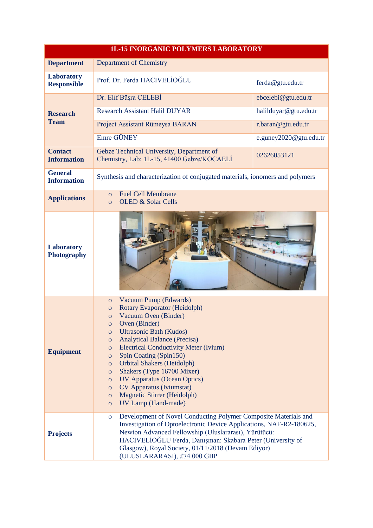| <b>1L-15 INORGANIC POLYMERS LABORATORY</b> |                                                                                                                                                                                                                                                                                                                                                                                                                                                                                                                                                                                                           |                        |
|--------------------------------------------|-----------------------------------------------------------------------------------------------------------------------------------------------------------------------------------------------------------------------------------------------------------------------------------------------------------------------------------------------------------------------------------------------------------------------------------------------------------------------------------------------------------------------------------------------------------------------------------------------------------|------------------------|
| <b>Department</b>                          | <b>Department of Chemistry</b>                                                                                                                                                                                                                                                                                                                                                                                                                                                                                                                                                                            |                        |
| <b>Laboratory</b><br><b>Responsible</b>    | Prof. Dr. Ferda HACIVELIOĞLU                                                                                                                                                                                                                                                                                                                                                                                                                                                                                                                                                                              | ferda@gtu.edu.tr       |
| <b>Research</b><br><b>Team</b>             | Dr. Elif Büşra ÇELEBİ                                                                                                                                                                                                                                                                                                                                                                                                                                                                                                                                                                                     | ebcelebi@gtu.edu.tr    |
|                                            | <b>Research Assistant Halil DUYAR</b>                                                                                                                                                                                                                                                                                                                                                                                                                                                                                                                                                                     | halilduyar@gtu.edu.tr  |
|                                            | Project Assistant Rümeysa BARAN                                                                                                                                                                                                                                                                                                                                                                                                                                                                                                                                                                           | r.baran@gtu.edu.tr     |
|                                            | Emre GÜNEY                                                                                                                                                                                                                                                                                                                                                                                                                                                                                                                                                                                                | e.guney2020@gtu.edu.tr |
| <b>Contact</b><br><b>Information</b>       | Gebze Technical University, Department of<br>Chemistry, Lab: 1L-15, 41400 Gebze/KOCAELI                                                                                                                                                                                                                                                                                                                                                                                                                                                                                                                   | 02626053121            |
| <b>General</b><br><b>Information</b>       | Synthesis and characterization of conjugated materials, ionomers and polymers                                                                                                                                                                                                                                                                                                                                                                                                                                                                                                                             |                        |
| <b>Applications</b>                        | <b>Fuel Cell Membrane</b><br>$\Omega$<br><b>OLED &amp; Solar Cells</b><br>$\circ$                                                                                                                                                                                                                                                                                                                                                                                                                                                                                                                         |                        |
| <b>Laboratory</b><br><b>Photography</b>    |                                                                                                                                                                                                                                                                                                                                                                                                                                                                                                                                                                                                           |                        |
| <b>Equipment</b>                           | Vacuum Pump (Edwards)<br>$\circ$<br>Rotary Evaporator (Heidolph)<br>$\circ$<br>Vacuum Oven (Binder)<br>$\circ$<br>Oven (Binder)<br><b>Ultrasonic Bath (Kudos)</b><br>$\circ$<br><b>Analytical Balance (Precisa)</b><br>$\circ$<br><b>Electrical Conductivity Meter (Ivium)</b><br>$\circ$<br>Spin Coating (Spin150)<br>$\circ$<br><b>Orbital Shakers (Heidolph)</b><br>$\circ$<br>Shakers (Type 16700 Mixer)<br>$\circ$<br><b>UV Apparatus (Ocean Optics)</b><br>$\circ$<br><b>CV</b> Apparatus (Iviumstat)<br>$\circ$<br><b>Magnetic Stirrer (Heidolph)</b><br>$\circ$<br>UV Lamp (Hand-made)<br>$\circ$ |                        |
| <b>Projects</b>                            | Development of Novel Conducting Polymer Composite Materials and<br>$\circ$<br>Investigation of Optoelectronic Device Applications, NAF-R2-180625,<br>Newton Advanced Fellowship (Uluslararası), Yürütücü:<br>HACIVELİOĞLU Ferda, Danışman: Skabara Peter (University of<br>Glasgow), Royal Society, 01/11/2018 (Devam Ediyor)<br>(ULUSLARARASI), £74.000 GBP                                                                                                                                                                                                                                              |                        |